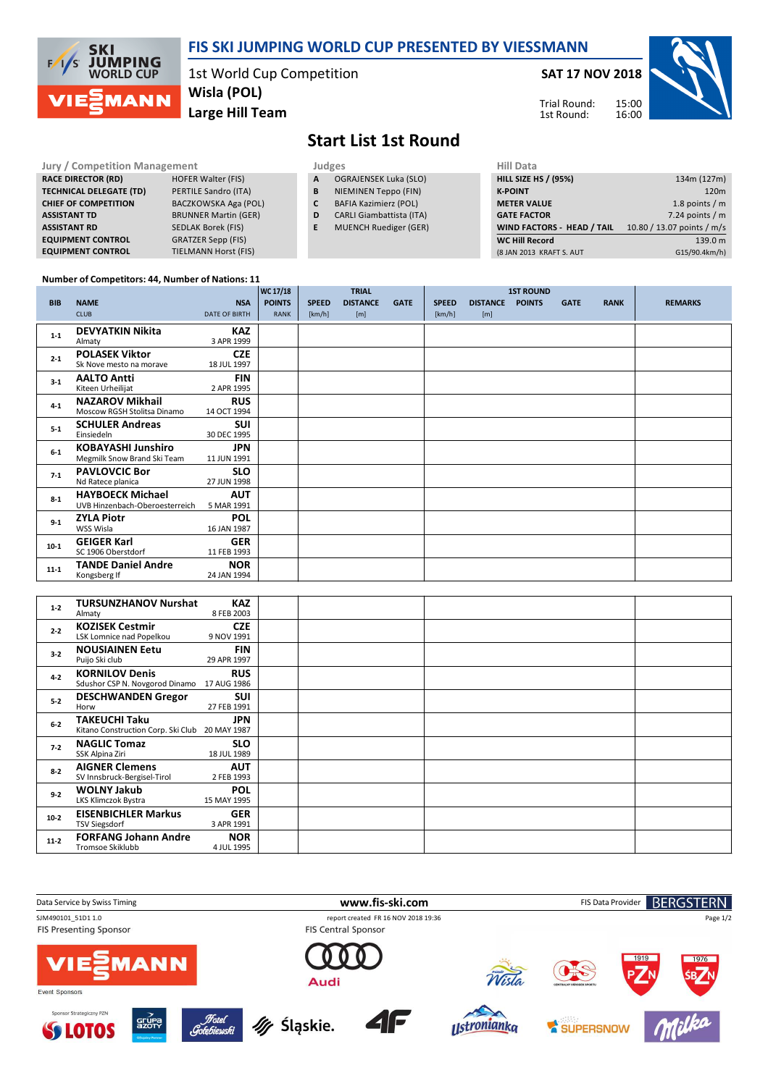

## **FIS SKI JUMPING WORLD CUP PRESENTED BY VIESSMANN**

1st World Cup Competition **Large Hill Team Wisla (POL)**

**SAT 17 NOV 2018**

Trial Round: 1st Round:



## **Start List 1st Round**

| <b>Jury / Competition Management</b> |                             |   | Judges                          | <b>Hill Data</b>     |
|--------------------------------------|-----------------------------|---|---------------------------------|----------------------|
| <b>RACE DIRECTOR (RD)</b>            | <b>HOFER Walter (FIS)</b>   | A | <b>OGRAJENSEK Luka (SLO)</b>    | HILL SIZE HS /       |
| <b>TECHNICAL DELEGATE (TD)</b>       | PERTILE Sandro (ITA)        | В | NIEMINEN Teppo (FIN)            | <b>K-POINT</b>       |
| <b>CHIEF OF COMPETITION</b>          | BACZKOWSKA Aga (POL)        |   | <b>BAFIA Kazimierz (POL)</b>    | <b>METER VALU</b>    |
| <b>ASSISTANT TD</b>                  | <b>BRUNNER Martin (GER)</b> | D | <b>CARLI Giambattista (ITA)</b> | <b>GATE FACTOR</b>   |
| <b>ASSISTANT RD</b>                  | <b>SEDLAK Borek (FIS)</b>   |   | <b>MUENCH Ruediger (GER)</b>    | <b>WIND FACTO</b>    |
| <b>EQUIPMENT CONTROL</b>             | <b>GRATZER Sepp (FIS)</b>   |   |                                 | <b>WC Hill Recor</b> |
| <b>EQUIPMENT CONTROL</b>             | <b>TIELMANN Horst (FIS)</b> |   |                                 | (8 JAN 2013 KR       |

| Hill Data                         |                            |
|-----------------------------------|----------------------------|
| <b>HILL SIZE HS / (95%)</b>       | 134m (127m)                |
| <b>K-POINT</b>                    | 120 <sub>m</sub>           |
| <b>METER VALUE</b>                | 1.8 points $/m$            |
| <b>GATE FACTOR</b>                | 7.24 points $/m$           |
| <b>WIND FACTORS - HEAD / TAIL</b> | 10.80 / 13.07 points / m/s |
| <b>WC Hill Record</b>             | 139.0 m                    |
| (8 JAN 2013 KRAFT S. AUT          | G15/90.4km/h)              |

## **Number of Competitors: 44, Number of Nations: 11**

|            |                                |                      | WC 17/18      |              | <b>TRIAL</b>    |             |              |                 | <b>1ST ROUND</b> |             |             |                |
|------------|--------------------------------|----------------------|---------------|--------------|-----------------|-------------|--------------|-----------------|------------------|-------------|-------------|----------------|
| <b>BIB</b> | <b>NAME</b>                    | <b>NSA</b>           | <b>POINTS</b> | <b>SPEED</b> | <b>DISTANCE</b> | <b>GATE</b> | <b>SPEED</b> | <b>DISTANCE</b> | <b>POINTS</b>    | <b>GATE</b> | <b>RANK</b> | <b>REMARKS</b> |
|            | <b>CLUB</b>                    | <b>DATE OF BIRTH</b> | <b>RANK</b>   | [km/h]       | [m]             |             | [km/h]       | [m]             |                  |             |             |                |
| $1 - 1$    | <b>DEVYATKIN Nikita</b>        | <b>KAZ</b>           |               |              |                 |             |              |                 |                  |             |             |                |
|            | Almaty                         | 3 APR 1999           |               |              |                 |             |              |                 |                  |             |             |                |
| $2 - 1$    | <b>POLASEK Viktor</b>          | <b>CZE</b>           |               |              |                 |             |              |                 |                  |             |             |                |
|            | Sk Nove mesto na morave        | 18 JUL 1997          |               |              |                 |             |              |                 |                  |             |             |                |
| $3-1$      | <b>AALTO Antti</b>             | <b>FIN</b>           |               |              |                 |             |              |                 |                  |             |             |                |
|            | Kiteen Urheilijat              | 2 APR 1995           |               |              |                 |             |              |                 |                  |             |             |                |
| $4 - 1$    | <b>NAZAROV Mikhail</b>         | <b>RUS</b>           |               |              |                 |             |              |                 |                  |             |             |                |
|            | Moscow RGSH Stolitsa Dinamo    | 14 OCT 1994          |               |              |                 |             |              |                 |                  |             |             |                |
| $5 - 1$    | <b>SCHULER Andreas</b>         | <b>SUI</b>           |               |              |                 |             |              |                 |                  |             |             |                |
|            | Einsiedeln                     | 30 DEC 1995          |               |              |                 |             |              |                 |                  |             |             |                |
| $6-1$      | <b>KOBAYASHI Junshiro</b>      | <b>JPN</b>           |               |              |                 |             |              |                 |                  |             |             |                |
|            | Megmilk Snow Brand Ski Team    | 11 JUN 1991          |               |              |                 |             |              |                 |                  |             |             |                |
| $7 - 1$    | <b>PAVLOVCIC Bor</b>           | <b>SLO</b>           |               |              |                 |             |              |                 |                  |             |             |                |
|            | Nd Ratece planica              | 27 JUN 1998          |               |              |                 |             |              |                 |                  |             |             |                |
| $8 - 1$    | <b>HAYBOECK Michael</b>        | <b>AUT</b>           |               |              |                 |             |              |                 |                  |             |             |                |
|            | UVB Hinzenbach-Oberoesterreich | 5 MAR 1991           |               |              |                 |             |              |                 |                  |             |             |                |
|            | <b>ZYLA Piotr</b>              | <b>POL</b>           |               |              |                 |             |              |                 |                  |             |             |                |
| $9 - 1$    | WSS Wisla                      | 16 JAN 1987          |               |              |                 |             |              |                 |                  |             |             |                |
| $10-1$     | <b>GEIGER Karl</b>             | <b>GER</b>           |               |              |                 |             |              |                 |                  |             |             |                |
|            | SC 1906 Oberstdorf             | 11 FEB 1993          |               |              |                 |             |              |                 |                  |             |             |                |
|            | <b>TANDE Daniel Andre</b>      | <b>NOR</b>           |               |              |                 |             |              |                 |                  |             |             |                |
| $11 - 1$   | Kongsberg If                   | 24 JAN 1994          |               |              |                 |             |              |                 |                  |             |             |                |

| $1 - 2$ | <b>TURSUNZHANOV Nurshat</b><br>Almaty                               | <b>KAZ</b><br>8 FEB 2003  |  |  |
|---------|---------------------------------------------------------------------|---------------------------|--|--|
| $2 - 2$ | <b>KOZISEK Cestmir</b><br>LSK Lomnice nad Popelkou                  | <b>CZE</b><br>9 NOV 1991  |  |  |
| $3-2$   | <b>NOUSIAINEN Eetu</b><br>Puijo Ski club                            | <b>FIN</b><br>29 APR 1997 |  |  |
| $4 - 2$ | <b>KORNILOV Denis</b><br>Sdushor CSP N. Novgorod Dinamo 17 AUG 1986 | <b>RUS</b>                |  |  |
| $5 - 2$ | <b>DESCHWANDEN Gregor</b><br>Horw                                   | <b>SUI</b><br>27 FEB 1991 |  |  |
| $6-2$   | TAKEUCHI Taku<br>Kitano Construction Corp. Ski Club 20 MAY 1987     | <b>JPN</b>                |  |  |
| $7 - 2$ | <b>NAGLIC Tomaz</b><br>SSK Alpina Ziri                              | <b>SLO</b><br>18 JUL 1989 |  |  |
| $8 - 2$ | <b>AIGNER Clemens</b><br>SV Innsbruck-Bergisel-Tirol                | <b>AUT</b><br>2 FEB 1993  |  |  |
| $9 - 2$ | <b>WOLNY Jakub</b><br>LKS Klimczok Bystra                           | <b>POL</b><br>15 MAY 1995 |  |  |
| $10-2$  | <b>EISENBICHLER Markus</b><br><b>TSV Siegsdorf</b>                  | <b>GER</b><br>3 APR 1991  |  |  |
| $11-2$  | <b>FORFANG Johann Andre</b><br>Tromsoe Skiklubb                     | <b>NOR</b><br>4 JUL 1995  |  |  |